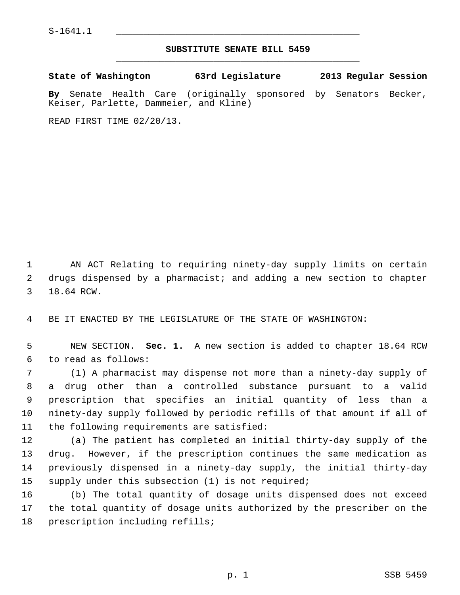## **SUBSTITUTE SENATE BILL 5459** \_\_\_\_\_\_\_\_\_\_\_\_\_\_\_\_\_\_\_\_\_\_\_\_\_\_\_\_\_\_\_\_\_\_\_\_\_\_\_\_\_\_\_\_\_

**State of Washington 63rd Legislature 2013 Regular Session**

**By** Senate Health Care (originally sponsored by Senators Becker, Keiser, Parlette, Dammeier, and Kline)

READ FIRST TIME 02/20/13.

 1 AN ACT Relating to requiring ninety-day supply limits on certain 2 drugs dispensed by a pharmacist; and adding a new section to chapter 3 18.64 RCW.

4 BE IT ENACTED BY THE LEGISLATURE OF THE STATE OF WASHINGTON:

 5 NEW SECTION. **Sec. 1.** A new section is added to chapter 18.64 RCW 6 to read as follows:

 7 (1) A pharmacist may dispense not more than a ninety-day supply of 8 a drug other than a controlled substance pursuant to a valid 9 prescription that specifies an initial quantity of less than a 10 ninety-day supply followed by periodic refills of that amount if all of 11 the following requirements are satisfied:

12 (a) The patient has completed an initial thirty-day supply of the 13 drug. However, if the prescription continues the same medication as 14 previously dispensed in a ninety-day supply, the initial thirty-day 15 supply under this subsection (1) is not required;

16 (b) The total quantity of dosage units dispensed does not exceed 17 the total quantity of dosage units authorized by the prescriber on the 18 prescription including refills;